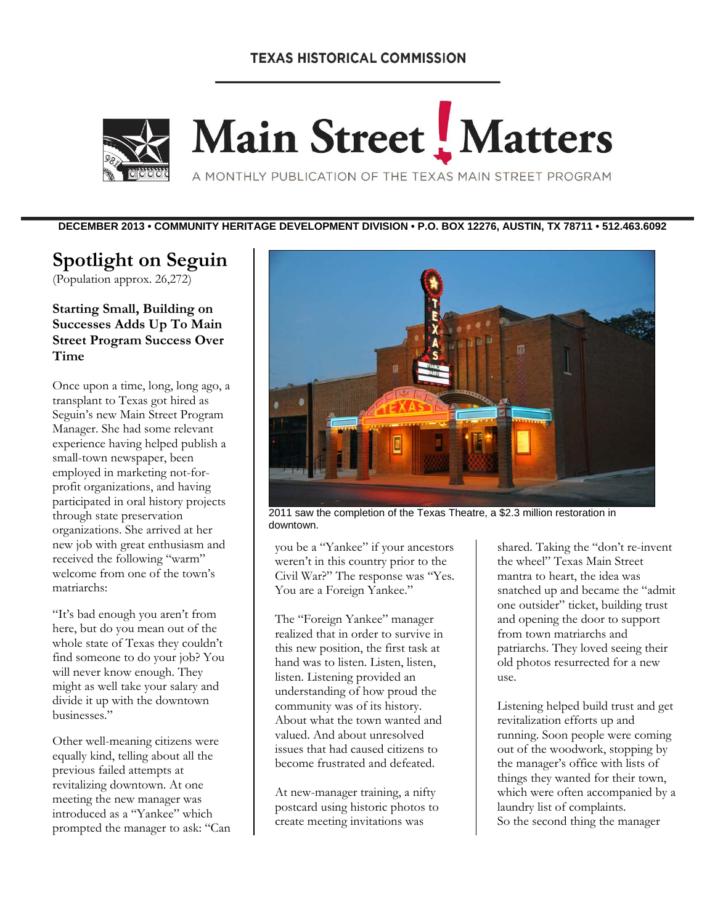# **TEXAS HISTORICAL COMMISSION**



# Main Street Matters

A MONTHLY PUBLICATION OF THE TEXAS MAIN STREET PROGRAM

**DECEMBER 2013 • COMMUNITY HERITAGE DEVELOPMENT DIVISION • P.O. BOX 12276, AUSTIN, TX 78711 • 512.463.6092** 

# **Spotlight on Seguin**

(Population approx. 26,272)

**Starting Small, Building on Successes Adds Up To Main Street Program Success Over Time**

Once upon a time, long, long ago, a transplant to Texas got hired as Seguin's new Main Street Program Manager. She had some relevant experience having helped publish a small-town newspaper, been employed in marketing not-forprofit organizations, and having participated in oral history projects through state preservation organizations. She arrived at her new job with great enthusiasm and received the following "warm" welcome from one of the town's matriarchs:

"It's bad enough you aren't from here, but do you mean out of the whole state of Texas they couldn't find someone to do your job? You will never know enough. They might as well take your salary and divide it up with the downtown businesses."

Other well-meaning citizens were equally kind, telling about all the previous failed attempts at revitalizing downtown. At one meeting the new manager was introduced as a "Yankee" which prompted the manager to ask: "Can



2011 saw the completion of the Texas Theatre, a \$2.3 million restoration in downtown.

you be a "Yankee" if your ancestors weren't in this country prior to the Civil War?" The response was "Yes. You are a Foreign Yankee."

The "Foreign Yankee" manager realized that in order to survive in this new position, the first task at hand was to listen. Listen, listen, listen. Listening provided an understanding of how proud the community was of its history. About what the town wanted and valued. And about unresolved issues that had caused citizens to become frustrated and defeated.

At new-manager training, a nifty postcard using historic photos to create meeting invitations was

shared. Taking the "don't re-invent the wheel" Texas Main Street mantra to heart, the idea was snatched up and became the "admit one outsider" ticket, building trust and opening the door to support from town matriarchs and patriarchs. They loved seeing their old photos resurrected for a new use.

Listening helped build trust and get revitalization efforts up and running. Soon people were coming out of the woodwork, stopping by the manager's office with lists of things they wanted for their town, which were often accompanied by a laundry list of complaints. So the second thing the manager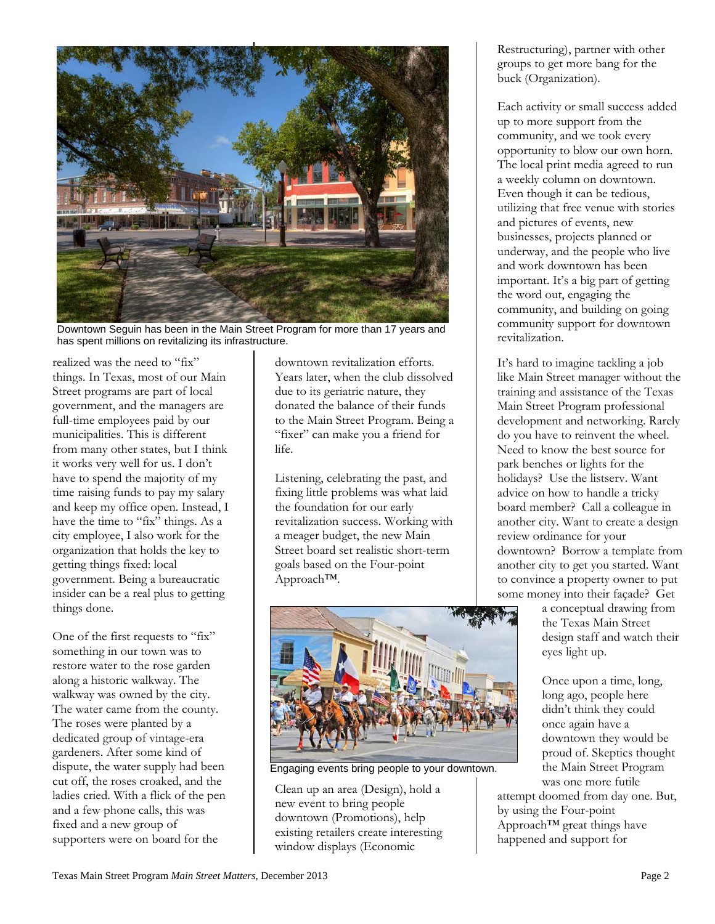

Downtown Seguin has been in the Main Street Program for more than 17 years and has spent millions on revitalizing its infrastructure.

realized was the need to "fix" things. In Texas, most of our Main Street programs are part of local government, and the managers are full-time employees paid by our municipalities. This is different from many other states, but I think it works very well for us. I don't have to spend the majority of my time raising funds to pay my salary and keep my office open. Instead, I have the time to "fix" things. As a city employee, I also work for the organization that holds the key to getting things fixed: local government. Being a bureaucratic insider can be a real plus to getting things done.

One of the first requests to "fix" something in our town was to restore water to the rose garden along a historic walkway. The walkway was owned by the city. The water came from the county. The roses were planted by a dedicated group of vintage-era gardeners. After some kind of dispute, the water supply had been cut off, the roses croaked, and the ladies cried. With a flick of the pen and a few phone calls, this was fixed and a new group of supporters were on board for the

downtown revitalization efforts. Years later, when the club dissolved due to its geriatric nature, they donated the balance of their funds to the Main Street Program. Being a "fixer" can make you a friend for life.

Listening, celebrating the past, and fixing little problems was what laid the foundation for our early revitalization success. Working with a meager budget, the new Main Street board set realistic short-term goals based on the Four-point Approach™.



Engaging events bring people to your downtown.

Clean up an area (Design), hold a new event to bring people downtown (Promotions), help existing retailers create interesting window displays (Economic

Restructuring), partner with other groups to get more bang for the buck (Organization).

Each activity or small success added up to more support from the community, and we took every opportunity to blow our own horn. The local print media agreed to run a weekly column on downtown. Even though it can be tedious, utilizing that free venue with stories and pictures of events, new businesses, projects planned or underway, and the people who live and work downtown has been important. It's a big part of getting the word out, engaging the community, and building on going community support for downtown revitalization.

It's hard to imagine tackling a job like Main Street manager without the training and assistance of the Texas Main Street Program professional development and networking. Rarely do you have to reinvent the wheel. Need to know the best source for park benches or lights for the holidays? Use the listserv. Want advice on how to handle a tricky board member? Call a colleague in another city. Want to create a design review ordinance for your downtown? Borrow a template from another city to get you started. Want to convince a property owner to put some money into their façade? Get

> a conceptual drawing from the Texas Main Street design staff and watch their eyes light up.

Once upon a time, long, long ago, people here didn't think they could once again have a downtown they would be proud of. Skeptics thought the Main Street Program was one more futile

attempt doomed from day one. But, by using the Four-point Approach™ great things have happened and support for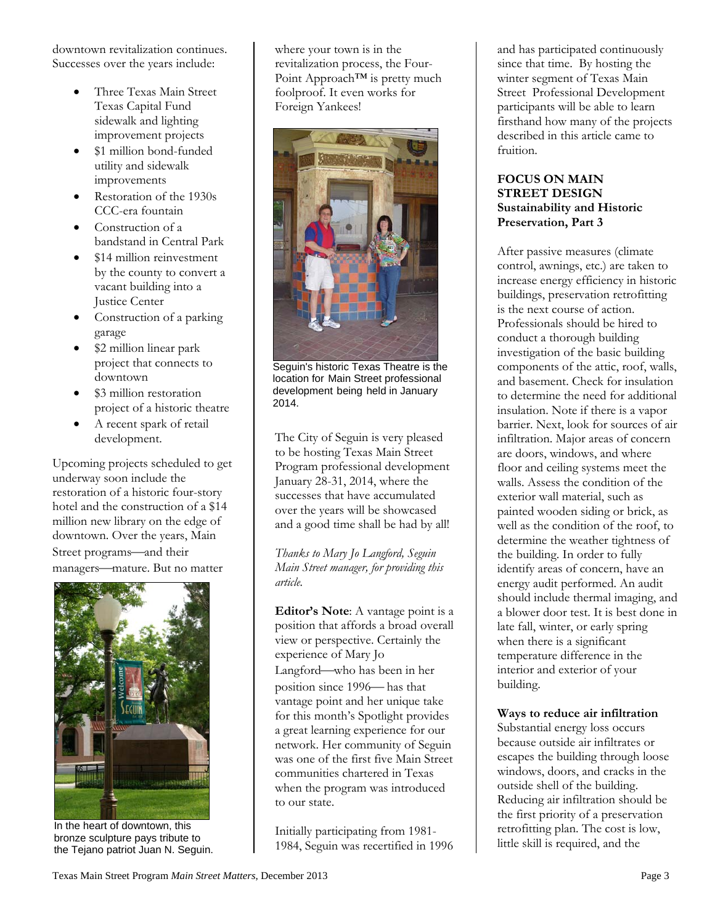downtown revitalization continues. Successes over the years include:

- Three Texas Main Street Texas Capital Fund sidewalk and lighting improvement projects
- \$1 million bond-funded utility and sidewalk improvements
- Restoration of the 1930s CCC-era fountain
- Construction of a bandstand in Central Park
- \$14 million reinvestment by the county to convert a vacant building into a Justice Center
- Construction of a parking garage
- \$2 million linear park project that connects to downtown
- \$3 million restoration project of a historic theatre
- A recent spark of retail development.

Upcoming projects scheduled to get underway soon include the restoration of a historic four-story hotel and the construction of a \$14 million new library on the edge of downtown. Over the years, Main Street programs-and their managers-mature. But no matter



In the heart of downtown, this bronze sculpture pays tribute to the Tejano patriot Juan N. Seguin.

where your town is in the revitalization process, the Four-Point Approach<sup>™</sup> is pretty much foolproof. It even works for Foreign Yankees!



Seguin's historic Texas Theatre is the location for Main Street professional development being held in January 2014.

The City of Seguin is very pleased to be hosting Texas Main Street Program professional development January 28-31, 2014, where the successes that have accumulated over the years will be showcased and a good time shall be had by all!

*Thanks to Mary Jo Langford, Seguin Main Street manager, for providing this article.* 

**Editor's Note**: A vantage point is a position that affords a broad overall view or perspective. Certainly the experience of Mary Jo Langford—who has been in her position since 1996— has that vantage point and her unique take for this month's Spotlight provides a great learning experience for our network. Her community of Seguin was one of the first five Main Street communities chartered in Texas when the program was introduced to our state.

Initially participating from 1981- 1984, Seguin was recertified in 1996

and has participated continuously since that time. By hosting the winter segment of Texas Main Street Professional Development participants will be able to learn firsthand how many of the projects described in this article came to fruition.

#### **FOCUS ON MAIN STREET DESIGN Sustainability and Historic Preservation, Part 3**

After passive measures (climate control, awnings, etc.) are taken to increase energy efficiency in historic buildings, preservation retrofitting is the next course of action. Professionals should be hired to conduct a thorough building investigation of the basic building components of the attic, roof, walls, and basement. Check for insulation to determine the need for additional insulation. Note if there is a vapor barrier. Next, look for sources of air infiltration. Major areas of concern are doors, windows, and where floor and ceiling systems meet the walls. Assess the condition of the exterior wall material, such as painted wooden siding or brick, as well as the condition of the roof, to determine the weather tightness of the building. In order to fully identify areas of concern, have an energy audit performed. An audit should include thermal imaging, and a blower door test. It is best done in late fall, winter, or early spring when there is a significant temperature difference in the interior and exterior of your building.

**Ways to reduce air infiltration** 

Substantial energy loss occurs because outside air infiltrates or escapes the building through loose windows, doors, and cracks in the outside shell of the building. Reducing air infiltration should be the first priority of a preservation retrofitting plan. The cost is low, little skill is required, and the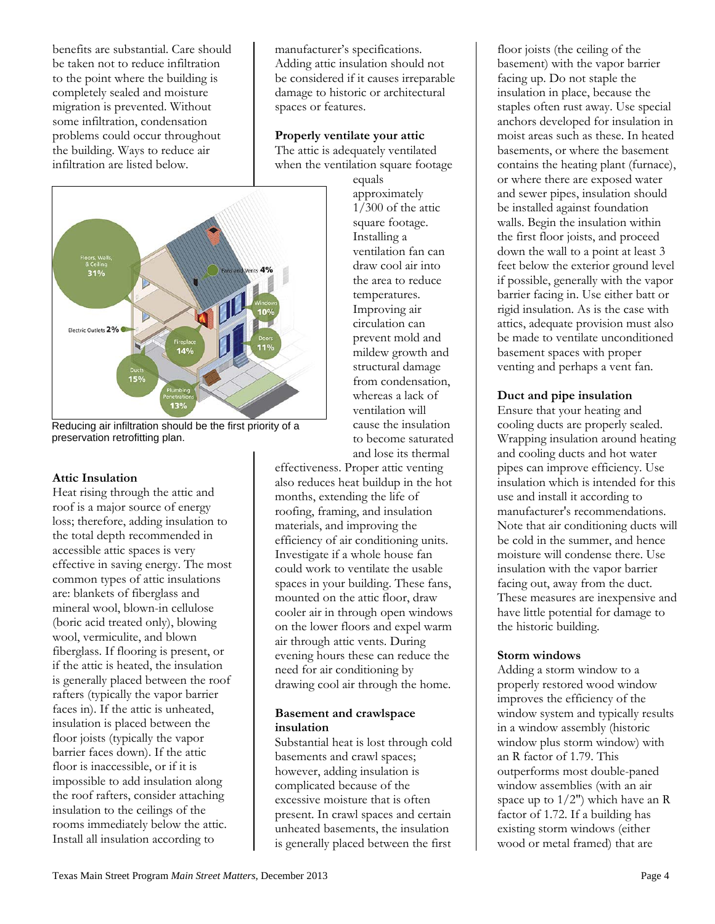benefits are substantial. Care should be taken not to reduce infiltration to the point where the building is completely sealed and moisture migration is prevented. Without some infiltration, condensation problems could occur throughout the building. Ways to reduce air infiltration are listed below.



Reducing air infiltration should be the first priority of a preservation retrofitting plan.

#### **Attic Insulation**

Heat rising through the attic and roof is a major source of energy loss; therefore, adding insulation to the total depth recommended in accessible attic spaces is very effective in saving energy. The most common types of attic insulations are: blankets of fiberglass and mineral wool, blown-in cellulose (boric acid treated only), blowing wool, vermiculite, and blown fiberglass. If flooring is present, or if the attic is heated, the insulation is generally placed between the roof rafters (typically the vapor barrier faces in). If the attic is unheated, insulation is placed between the floor joists (typically the vapor barrier faces down). If the attic floor is inaccessible, or if it is impossible to add insulation along the roof rafters, consider attaching insulation to the ceilings of the rooms immediately below the attic. Install all insulation according to

manufacturer's specifications. Adding attic insulation should not be considered if it causes irreparable damage to historic or architectural spaces or features.

**Properly ventilate your attic** The attic is adequately ventilated when the ventilation square footage

equals approximately 1/300 of the attic square footage. Installing a ventilation fan can draw cool air into the area to reduce temperatures. Improving air circulation can prevent mold and mildew growth and structural damage from condensation, whereas a lack of ventilation will cause the insulation to become saturated and lose its thermal

effectiveness. Proper attic venting also reduces heat buildup in the hot months, extending the life of roofing, framing, and insulation materials, and improving the efficiency of air conditioning units. Investigate if a whole house fan could work to ventilate the usable spaces in your building. These fans, mounted on the attic floor, draw cooler air in through open windows on the lower floors and expel warm air through attic vents. During evening hours these can reduce the need for air conditioning by drawing cool air through the home.

#### **Basement and crawlspace insulation**

Substantial heat is lost through cold basements and crawl spaces; however, adding insulation is complicated because of the excessive moisture that is often present. In crawl spaces and certain unheated basements, the insulation is generally placed between the first

floor joists (the ceiling of the basement) with the vapor barrier facing up. Do not staple the insulation in place, because the staples often rust away. Use special anchors developed for insulation in moist areas such as these. In heated basements, or where the basement contains the heating plant (furnace), or where there are exposed water and sewer pipes, insulation should be installed against foundation walls. Begin the insulation within the first floor joists, and proceed down the wall to a point at least 3 feet below the exterior ground level if possible, generally with the vapor barrier facing in. Use either batt or rigid insulation. As is the case with attics, adequate provision must also be made to ventilate unconditioned basement spaces with proper venting and perhaps a vent fan.

#### **Duct and pipe insulation**

Ensure that your heating and cooling ducts are properly sealed. Wrapping insulation around heating and cooling ducts and hot water pipes can improve efficiency. Use insulation which is intended for this use and install it according to manufacturer's recommendations. Note that air conditioning ducts will be cold in the summer, and hence moisture will condense there. Use insulation with the vapor barrier facing out, away from the duct. These measures are inexpensive and have little potential for damage to the historic building.

#### **Storm windows**

Adding a storm window to a properly restored wood window improves the efficiency of the window system and typically results in a window assembly (historic window plus storm window) with an R factor of 1.79. This outperforms most double-paned window assemblies (with an air space up to 1/2") which have an R factor of 1.72. If a building has existing storm windows (either wood or metal framed) that are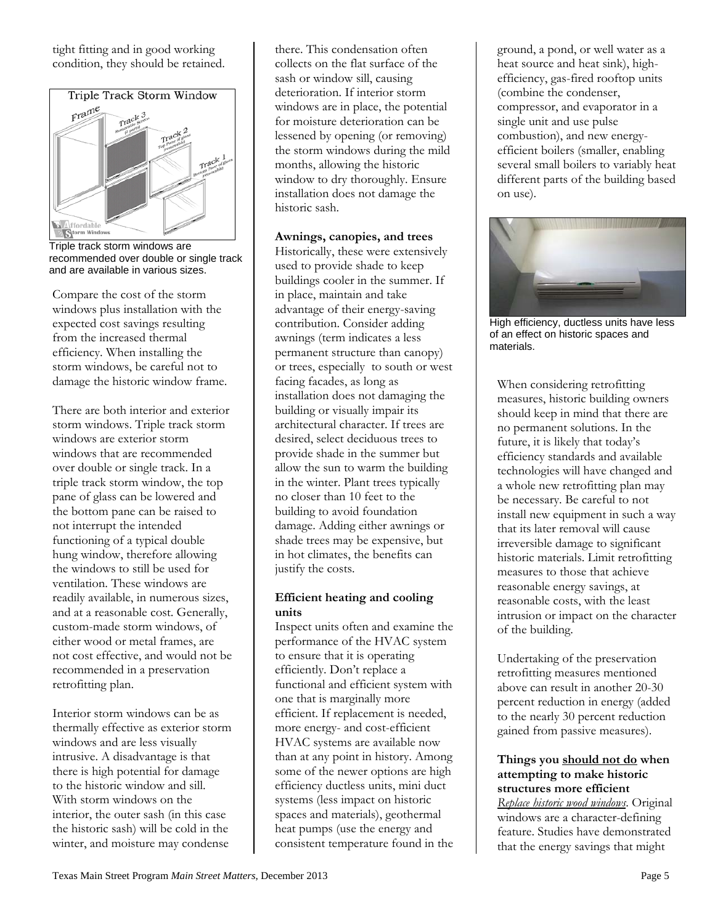tight fitting and in good working condition, they should be retained.



Triple track storm windows are recommended over double or single track and are available in various sizes.

Compare the cost of the storm windows plus installation with the expected cost savings resulting from the increased thermal efficiency. When installing the storm windows, be careful not to damage the historic window frame.

There are both interior and exterior storm windows. Triple track storm windows are exterior storm windows that are recommended over double or single track. In a triple track storm window, the top pane of glass can be lowered and the bottom pane can be raised to not interrupt the intended functioning of a typical double hung window, therefore allowing the windows to still be used for ventilation. These windows are readily available, in numerous sizes, and at a reasonable cost. Generally, custom-made storm windows, of either wood or metal frames, are not cost effective, and would not be recommended in a preservation retrofitting plan.

Interior storm windows can be as thermally effective as exterior storm windows and are less visually intrusive. A disadvantage is that there is high potential for damage to the historic window and sill. With storm windows on the interior, the outer sash (in this case the historic sash) will be cold in the winter, and moisture may condense

there. This condensation often collects on the flat surface of the sash or window sill, causing deterioration. If interior storm windows are in place, the potential for moisture deterioration can be lessened by opening (or removing) the storm windows during the mild months, allowing the historic window to dry thoroughly. Ensure installation does not damage the historic sash.

**Awnings, canopies, and trees**  Historically, these were extensively used to provide shade to keep buildings cooler in the summer. If in place, maintain and take advantage of their energy-saving contribution. Consider adding awnings (term indicates a less permanent structure than canopy) or trees, especially to south or west facing facades, as long as installation does not damaging the building or visually impair its architectural character. If trees are desired, select deciduous trees to provide shade in the summer but allow the sun to warm the building in the winter. Plant trees typically no closer than 10 feet to the building to avoid foundation damage. Adding either awnings or shade trees may be expensive, but in hot climates, the benefits can justify the costs.

#### **Efficient heating and cooling units**

Inspect units often and examine the performance of the HVAC system to ensure that it is operating efficiently. Don't replace a functional and efficient system with one that is marginally more efficient. If replacement is needed, more energy- and cost-efficient HVAC systems are available now than at any point in history. Among some of the newer options are high efficiency ductless units, mini duct systems (less impact on historic spaces and materials), geothermal heat pumps (use the energy and consistent temperature found in the ground, a pond, or well water as a heat source and heat sink), highefficiency, gas-fired rooftop units (combine the condenser, compressor, and evaporator in a single unit and use pulse combustion), and new energyefficient boilers (smaller, enabling several small boilers to variably heat different parts of the building based on use).



High efficiency, ductless units have less of an effect on historic spaces and materials.

When considering retrofitting measures, historic building owners should keep in mind that there are no permanent solutions. In the future, it is likely that today's efficiency standards and available technologies will have changed and a whole new retrofitting plan may be necessary. Be careful to not install new equipment in such a way that its later removal will cause irreversible damage to significant historic materials. Limit retrofitting measures to those that achieve reasonable energy savings, at reasonable costs, with the least intrusion or impact on the character of the building.

Undertaking of the preservation retrofitting measures mentioned above can result in another 20-30 percent reduction in energy (added to the nearly 30 percent reduction gained from passive measures).

#### **Things you should not do when attempting to make historic structures more efficient**

*Replace historic wood windows*. Original windows are a character-defining feature. Studies have demonstrated that the energy savings that might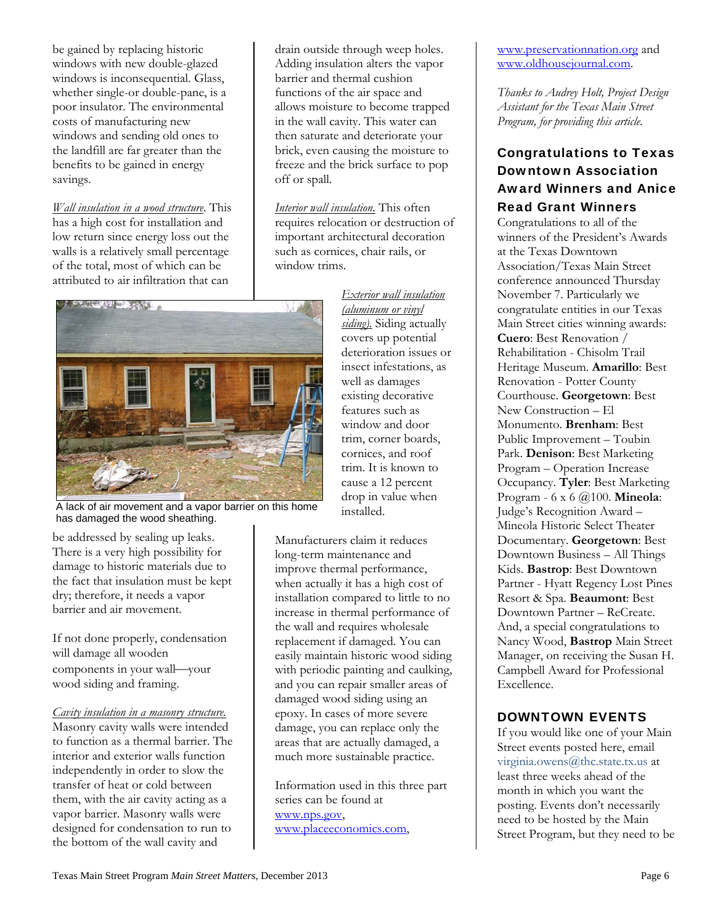be gained by replacing historic windows with new double-glazed windows is inconsequential. Glass, whether single-or double-pane, is a poor insulator. The environmental costs of manufacturing new windows and sending old ones to the landfill are far greater than the benefits to be gained in energy savings.

*Wall insulation in a wood structure*. This has a high cost for installation and low return since energy loss out the walls is a relatively small percentage of the total, most of which can be attributed to air infiltration that can

drain outside through weep holes. Adding insulation alters the vapor barrier and thermal cushion functions of the air space and allows moisture to become trapped in the wall cavity. This water can then saturate and deteriorate your brick, even causing the moisture to freeze and the brick surface to pop off or spall.

*Interior wall insulation.* This often requires relocation or destruction of important architectural decoration such as cornices, chair rails, or window trims.



A lack of air movement and a vapor barrier on this home has damaged the wood sheathing.

be addressed by sealing up leaks. There is a very high possibility for damage to historic materials due to the fact that insulation must be kept dry; therefore, it needs a vapor barrier and air movement.

If not done properly, condensation will damage all wooden components in your wall-your wood siding and framing.

#### *Cavity insulation in a masonry structure.*

Masonry cavity walls were intended to function as a thermal barrier. The interior and exterior walls function independently in order to slow the transfer of heat or cold between them, with the air cavity acting as a vapor barrier. Masonry walls were designed for condensation to run to the bottom of the wall cavity and

*Exterior wall insulation (aluminum or vinyl siding).* Siding actually covers up potential deterioration issues or insect infestations, as well as damages existing decorative features such as window and door trim, corner boards, cornices, and roof trim. It is known to cause a 12 percent drop in value when installed.

Manufacturers claim it reduces long-term maintenance and improve thermal performance, when actually it has a high cost of installation compared to little to no increase in thermal performance of the wall and requires wholesale replacement if damaged. You can easily maintain historic wood siding with periodic painting and caulking, and you can repair smaller areas of damaged wood siding using an epoxy. In cases of more severe damage, you can replace only the areas that are actually damaged, a much more sustainable practice.

Information used in this three part series can be found at www.nps.gov, www.placeeconomics.com,

www.preservationnation.org and www.oldhousejournal.com.

*Thanks to Audrey Holt, Project Design Assistant for the Texas Main Street Program, for providing this article.* 

# Congratulations to Texas Downtown Association Award Winners and Anice Read Grant Winners

Congratulations to all of the winners of the President's Awards at the Texas Downtown Association/Texas Main Street conference announced Thursday November 7. Particularly we congratulate entities in our Texas Main Street cities winning awards: **Cuero**: Best Renovation / Rehabilitation - Chisolm Trail Heritage Museum. **Amarillo**: Best Renovation - Potter County Courthouse. **Georgetown**: Best New Construction – El Monumento. **Brenham**: Best Public Improvement – Toubin Park. **Denison**: Best Marketing Program – Operation Increase Occupancy. **Tyler**: Best Marketing Program - 6 x 6 @100. **Mineola**: Judge's Recognition Award – Mineola Historic Select Theater Documentary. **Georgetown**: Best Downtown Business – All Things Kids. **Bastrop**: Best Downtown Partner - Hyatt Regency Lost Pines Resort & Spa. **Beaumont**: Best Downtown Partner – ReCreate. And, a special congratulations to Nancy Wood, **Bastrop** Main Street Manager, on receiving the Susan H. Campbell Award for Professional Excellence.

#### DOWNTOWN EVENTS

If you would like one of your Main Street events posted here, email virginia.owens@thc.state.tx.us at least three weeks ahead of the month in which you want the posting. Events don't necessarily need to be hosted by the Main Street Program, but they need to be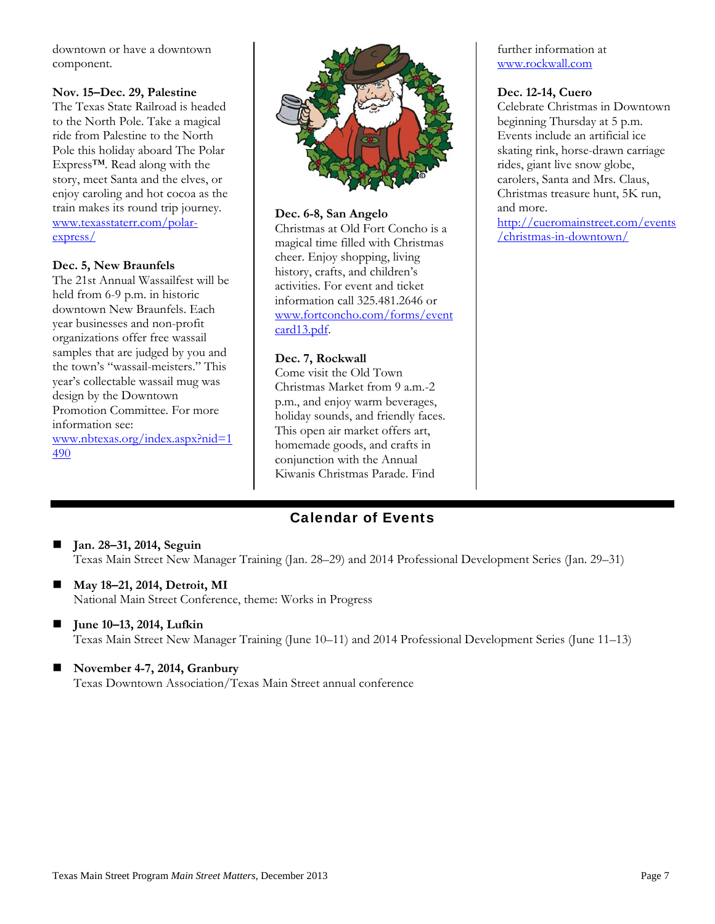downtown or have a downtown component.

#### **Nov. 15–Dec. 29, Palestine**

The Texas State Railroad is headed to the North Pole. Take a magical ride from Palestine to the North Pole this holiday aboard The Polar Express™. Read along with the story, meet Santa and the elves, or enjoy caroling and hot cocoa as the train makes its round trip journey. www.texasstaterr.com/polarexpress/

#### **Dec. 5, New Braunfels**

The 21st Annual Wassailfest will be held from 6-9 p.m. in historic downtown New Braunfels. Each year businesses and non-profit organizations offer free wassail samples that are judged by you and the town's "wassail-meisters." This year's collectable wassail mug was design by the Downtown Promotion Committee. For more information see: www.nbtexas.org/index.aspx?nid=1 490



#### **Dec. 6-8, San Angelo**

Christmas at Old Fort Concho is a magical time filled with Christmas cheer. Enjoy shopping, living history, crafts, and children's activities. For event and ticket information call 325.481.2646 or www.fortconcho.com/forms/event card13.pdf.

#### **Dec. 7, Rockwall**

Come visit the Old Town Christmas Market from 9 a.m.-2 p.m., and enjoy warm beverages, holiday sounds, and friendly faces. This open air market offers art, homemade goods, and crafts in conjunction with the Annual Kiwanis Christmas Parade. Find

# Calendar of Events

- **Jan. 28–31, 2014, Seguin**  Texas Main Street New Manager Training (Jan. 28–29) and 2014 Professional Development Series (Jan. 29–31)
- **May 18–21, 2014, Detroit, MI**  National Main Street Conference, theme: Works in Progress
- June 10–13, 2014, Lufkin Texas Main Street New Manager Training (June 10–11) and 2014 Professional Development Series (June 11–13)
- **November 4-7, 2014, Granbury**  Texas Downtown Association/Texas Main Street annual conference

further information at www.rockwall.com

#### **Dec. 12-14, Cuero**

Celebrate Christmas in Downtown beginning Thursday at 5 p.m. Events include an artificial ice skating rink, horse-drawn carriage rides, giant live snow globe, carolers, Santa and Mrs. Claus, Christmas treasure hunt, 5K run, and more.

http://cueromainstreet.com/events /christmas-in-downtown/